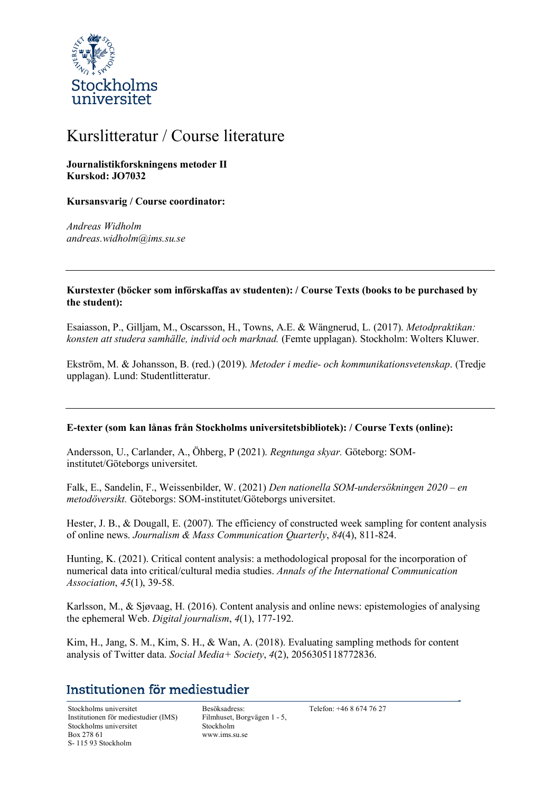

# Kurslitteratur / Course literature

#### **Journalistikforskningens metoder II Kurskod: JO7032**

#### **Kursansvarig / Course coordinator:**

*Andreas Widholm andreas.widholm@ims.su.se*

#### **Kurstexter (böcker som införskaffas av studenten): / Course Texts (books to be purchased by the student):**

Esaiasson, P., Gilljam, M., Oscarsson, H., Towns, A.E. & Wängnerud, L. (2017). *Metodpraktikan: konsten att studera samhälle, individ och marknad.* (Femte upplagan). Stockholm: Wolters Kluwer.

Ekström, M. & Johansson, B. (red.) (2019). *Metoder i medie- och kommunikationsvetenskap*. (Tredje upplagan). Lund: Studentlitteratur.

#### **E-texter (som kan lånas från Stockholms universitetsbibliotek): / Course Texts (online):**

Andersson, U., Carlander, A., Öhberg, P (2021). *Regntunga skyar.* Göteborg: SOMinstitutet/Göteborgs universitet.

Falk, E., Sandelin, F., Weissenbilder, W. (2021) *Den nationella SOM-undersökningen 2020 – en metodöversikt.* Göteborgs: SOM-institutet/Göteborgs universitet.

Hester, J. B., & Dougall, E. (2007). The efficiency of constructed week sampling for content analysis of online news. *Journalism & Mass Communication Quarterly*, *84*(4), 811-824.

Hunting, K. (2021). Critical content analysis: a methodological proposal for the incorporation of numerical data into critical/cultural media studies. *Annals of the International Communication Association*, *45*(1), 39-58.

Karlsson, M., & Sjøvaag, H. (2016). Content analysis and online news: epistemologies of analysing the ephemeral Web. *Digital journalism*, *4*(1), 177-192.

Kim, H., Jang, S. M., Kim, S. H., & Wan, A. (2018). Evaluating sampling methods for content analysis of Twitter data. *Social Media+ Society*, *4*(2), 2056305118772836.

## Institutionen för mediestudier

Stockholms universitet Besöksadress: Telefon: +46 8 674 76 27 Institutionen för mediestudier (IMS) Stockholms universitet Box 278 61 S- 115 93 Stockholm

Filmhuset, Borgvägen 1 - 5, Stockholm www.ims.su.se